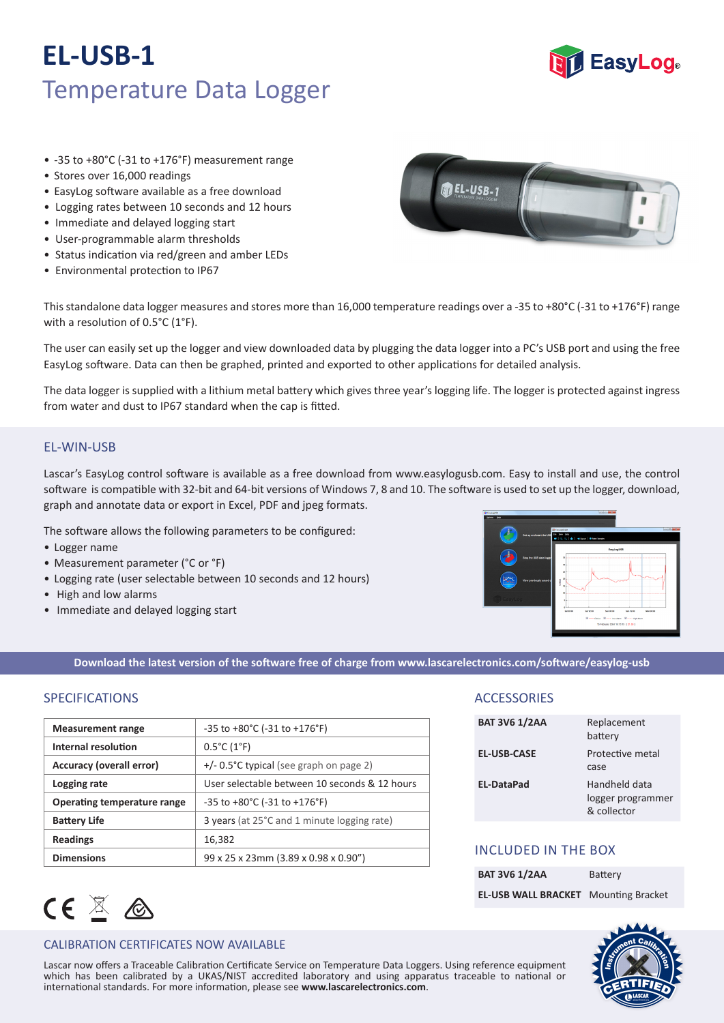## **EL-USB-1** Temperature Data Logger



- -35 to +80°C (-31 to +176°F) measurement range
- Stores over 16,000 readings
- EasyLog software available as a free download
- Logging rates between 10 seconds and 12 hours
- Immediate and delayed logging start
- User-programmable alarm thresholds
- Status indication via red/green and amber LEDs
- Environmental protection to IP67



This standalone data logger measures and stores more than 16,000 temperature readings over a -35 to +80°C (-31 to +176°F) range with a resolution of 0.5°C (1°F).

The user can easily set up the logger and view downloaded data by plugging the data logger into a PC's USB port and using the free EasyLog software. Data can then be graphed, printed and exported to other applications for detailed analysis.

The data logger is supplied with a lithium metal battery which gives three year's logging life. The logger is protected against ingress from water and dust to IP67 standard when the cap is fitted.

## EL-WIN-USB

Lascar's EasyLog control software is available as a free download from www.easylogusb.com. Easy to install and use, the control software is compatible with 32-bit and 64-bit versions of Windows 7, 8 and 10. The software is used to set up the logger, download, graph and annotate data or export in Excel, PDF and jpeg formats.

The software allows the following parameters to be configured:

- Logger name
- Measurement parameter (°C or °F)
- Logging rate (user selectable between 10 seconds and 12 hours)
- High and low alarms
- Immediate and delayed logging start



**Download the latest version of the software free of charge from www.lascarelectronics.com/software/easylog-usb**

## SPECIFICATIONS

| <b>Measurement range</b>        | $-35$ to $+80^{\circ}$ C ( $-31$ to $+176^{\circ}$ F) |
|---------------------------------|-------------------------------------------------------|
| Internal resolution             | $0.5^{\circ}$ C (1 $^{\circ}$ F)                      |
| <b>Accuracy (overall error)</b> | $+/- 0.5^{\circ}$ C typical (see graph on page 2)     |
| Logging rate                    | User selectable between 10 seconds & 12 hours         |
| Operating temperature range     | $-35$ to $+80^{\circ}$ C ( $-31$ to $+176^{\circ}$ F) |
| <b>Battery Life</b>             | 3 years (at 25°C and 1 minute logging rate)           |
| <b>Readings</b>                 | 16,382                                                |
| <b>Dimensions</b>               | 99 x 25 x 23mm (3.89 x 0.98 x 0.90")                  |

## CEXA

### CALIBRATION CERTIFICATES NOW AVAILABLE

which has been calibrated by a UKAS/NIST accredited laboratory and using apparatus traceable to national or Lascar now offers a Traceable Calibration Certificate Service on Temperature Data Loggers. Using reference equipment international standards. For more information, please see **www.lascarelectronics.com**.

## **ACCESSORIES**

| <b>BAT 3V6 1/2AA</b> | Replacement<br>battery                            |
|----------------------|---------------------------------------------------|
| <b>EL-USB-CASE</b>   | Protective metal<br>case                          |
| <b>EL-DataPad</b>    | Handheld data<br>logger programmer<br>& collector |

## INCLUDED IN THE BOX

| <b>BAT 3V6 1/2AA</b>                        | Battery |
|---------------------------------------------|---------|
| <b>EL-USB WALL BRACKET</b> Mounting Bracket |         |